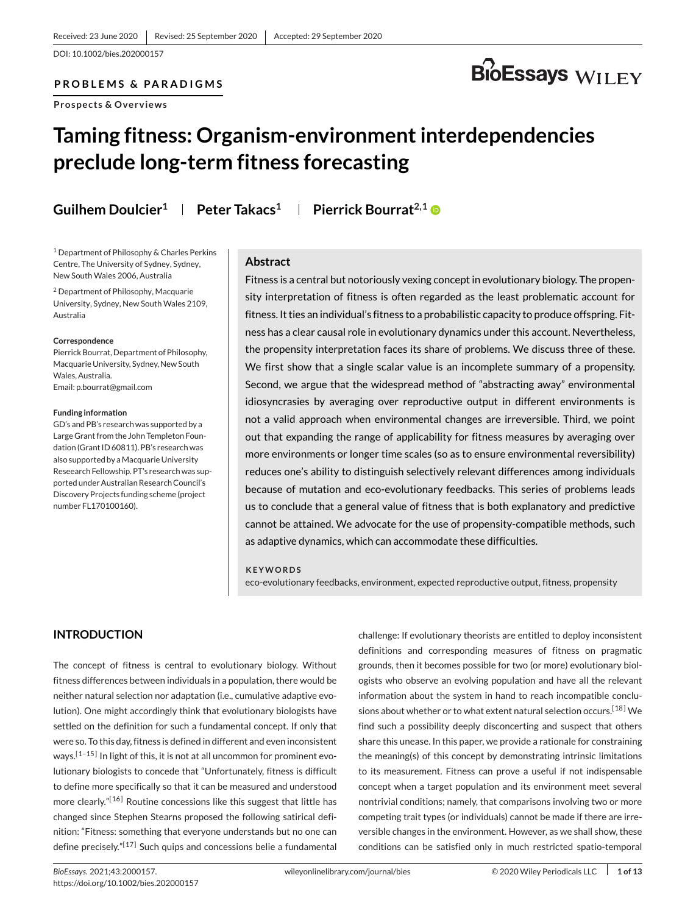DOI: 10.1002/bies.202000157

## **PROBLEMS & PARADIGMS**

**Prospects & Overviews**

# **BioEssays** WILEY

## **Taming fitness: Organism-environment interdependencies preclude long-term fitness forecasting**

**Guilhem Doulcier**<sup>1</sup> | Peter Takacs<sup>1</sup> | Pierrick Bourrat<sup>2,1</sup> ©

<sup>1</sup> Department of Philosophy & Charles Perkins Centre, The University of Sydney, Sydney, New South Wales 2006, Australia

<sup>2</sup> Department of Philosophy, Macquarie University, Sydney, New South Wales 2109, Australia

#### **Correspondence**

Pierrick Bourrat, Department of Philosophy, Macquarie University, Sydney, New South Wales, Australia. Email: p.bourrat@gmail.com

#### **Funding information**

GD's and PB's research was supported by a Large Grant from the John Templeton Foundation (Grant ID 60811). PB's research was also supported by aMacquarie University Reseearch Fellowship. PT's research was supported under Australian Research Council's Discovery Projects funding scheme (project number FL170100160).

#### **Abstract**

Fitness is a central but notoriously vexing concept in evolutionary biology. The propensity interpretation of fitness is often regarded as the least problematic account for fitness. It ties an individual's fitness to a probabilistic capacity to produce offspring. Fitness has a clear causal role in evolutionary dynamics under this account. Nevertheless, the propensity interpretation faces its share of problems. We discuss three of these. We first show that a single scalar value is an incomplete summary of a propensity. Second, we argue that the widespread method of "abstracting away" environmental idiosyncrasies by averaging over reproductive output in different environments is not a valid approach when environmental changes are irreversible. Third, we point out that expanding the range of applicability for fitness measures by averaging over more environments or longer time scales (so as to ensure environmental reversibility) reduces one's ability to distinguish selectively relevant differences among individuals because of mutation and eco-evolutionary feedbacks. This series of problems leads us to conclude that a general value of fitness that is both explanatory and predictive cannot be attained. We advocate for the use of propensity-compatible methods, such as adaptive dynamics, which can accommodate these difficulties.

#### **KEYWORDS**

eco-evolutionary feedbacks, environment, expected reproductive output, fitness, propensity

## **INTRODUCTION**

The concept of fitness is central to evolutionary biology. Without fitness differences between individuals in a population, there would be neither natural selection nor adaptation (i.e., cumulative adaptive evolution). One might accordingly think that evolutionary biologists have settled on the definition for such a fundamental concept. If only that were so. To this day, fitness is defined in different and even inconsistent ways.<sup>[1-15]</sup> In light of this, it is not at all uncommon for prominent evolutionary biologists to concede that "Unfortunately, fitness is difficult to define more specifically so that it can be measured and understood more clearly."<sup>[16]</sup> Routine concessions like this suggest that little has changed since Stephen Stearns proposed the following satirical definition: "Fitness: something that everyone understands but no one can define precisely." $[17]$  Such quips and concessions belie a fundamental challenge: If evolutionary theorists are entitled to deploy inconsistent definitions and corresponding measures of fitness on pragmatic grounds, then it becomes possible for two (or more) evolutionary biologists who observe an evolving population and have all the relevant information about the system in hand to reach incompatible conclusions about whether or to what extent natural selection occurs.<sup>[18]</sup> We find such a possibility deeply disconcerting and suspect that others share this unease. In this paper, we provide a rationale for constraining the meaning(s) of this concept by demonstrating intrinsic limitations to its measurement. Fitness can prove a useful if not indispensable concept when a target population and its environment meet several nontrivial conditions; namely, that comparisons involving two or more competing trait types (or individuals) cannot be made if there are irreversible changes in the environment. However, as we shall show, these conditions can be satisfied only in much restricted spatio-temporal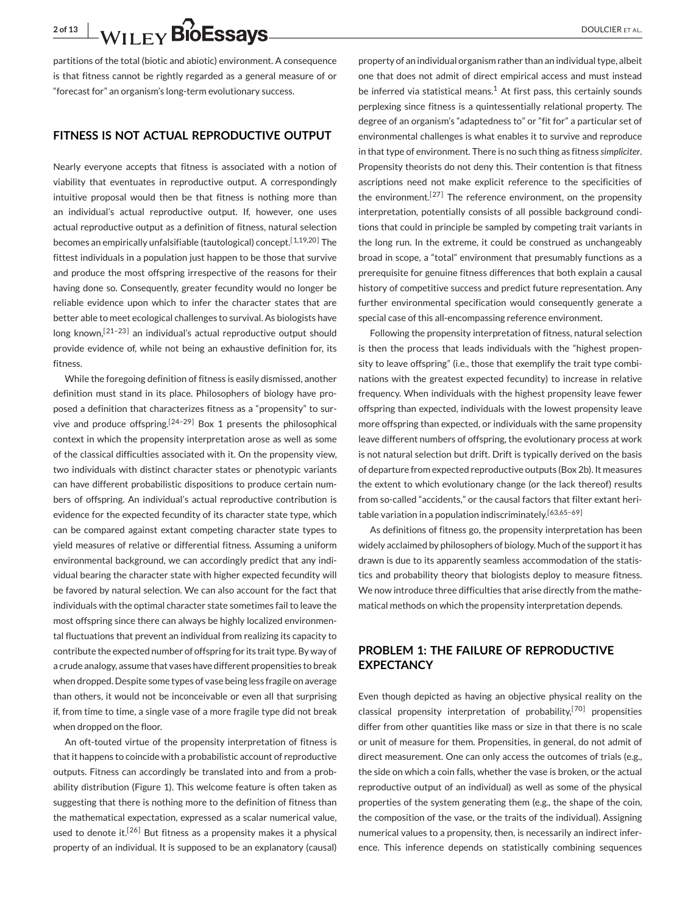partitions of the total (biotic and abiotic) environment. A consequence is that fitness cannot be rightly regarded as a general measure of or "forecast for" an organism's long-term evolutionary success.

## **FITNESS IS NOT ACTUAL REPRODUCTIVE OUTPUT**

Nearly everyone accepts that fitness is associated with a notion of viability that eventuates in reproductive output. A correspondingly intuitive proposal would then be that fitness is nothing more than an individual's actual reproductive output. If, however, one uses actual reproductive output as a definition of fitness, natural selection becomes an empirically unfalsifiable (tautological) concept.<sup>[1,19,20]</sup> The fittest individuals in a population just happen to be those that survive and produce the most offspring irrespective of the reasons for their having done so. Consequently, greater fecundity would no longer be reliable evidence upon which to infer the character states that are better able to meet ecological challenges to survival. As biologists have long known,  $[21-23]$  an individual's actual reproductive output should provide evidence of, while not being an exhaustive definition for, its fitness.

While the foregoing definition of fitness is easily dismissed, another definition must stand in its place. Philosophers of biology have proposed a definition that characterizes fitness as a "propensity" to survive and produce offspring.<sup>[24-29]</sup> Box 1 presents the philosophical context in which the propensity interpretation arose as well as some of the classical difficulties associated with it. On the propensity view, two individuals with distinct character states or phenotypic variants can have different probabilistic dispositions to produce certain numbers of offspring. An individual's actual reproductive contribution is evidence for the expected fecundity of its character state type, which can be compared against extant competing character state types to yield measures of relative or differential fitness. Assuming a uniform environmental background, we can accordingly predict that any individual bearing the character state with higher expected fecundity will be favored by natural selection. We can also account for the fact that individuals with the optimal character state sometimes fail to leave the most offspring since there can always be highly localized environmental fluctuations that prevent an individual from realizing its capacity to contribute the expected number of offspring for its trait type. By way of a crude analogy, assume that vases have different propensities to break when dropped. Despite some types of vase being less fragile on average than others, it would not be inconceivable or even all that surprising if, from time to time, a single vase of a more fragile type did not break when dropped on the floor.

An oft-touted virtue of the propensity interpretation of fitness is that it happens to coincide with a probabilistic account of reproductive outputs. Fitness can accordingly be translated into and from a probability distribution (Figure 1). This welcome feature is often taken as suggesting that there is nothing more to the definition of fitness than the mathematical expectation, expressed as a scalar numerical value, used to denote it.<sup>[26]</sup> But fitness as a propensity makes it a physical property of an individual. It is supposed to be an explanatory (causal)

property of an individual organism rather than an individual type, albeit one that does not admit of direct empirical access and must instead be inferred via statistical means.<sup>1</sup> At first pass, this certainly sounds perplexing since fitness is a quintessentially relational property. The degree of an organism's "adaptedness to" or "fit for" a particular set of environmental challenges is what enables it to survive and reproduce in that type of environment. There is no such thing as fitness *simpliciter*. Propensity theorists do not deny this. Their contention is that fitness ascriptions need not make explicit reference to the specificities of the environment.<sup>[27]</sup> The reference environment, on the propensity interpretation, potentially consists of all possible background conditions that could in principle be sampled by competing trait variants in the long run. In the extreme, it could be construed as unchangeably broad in scope, a "total" environment that presumably functions as a prerequisite for genuine fitness differences that both explain a causal history of competitive success and predict future representation. Any further environmental specification would consequently generate a special case of this all-encompassing reference environment.

Following the propensity interpretation of fitness, natural selection is then the process that leads individuals with the "highest propensity to leave offspring" (i.e., those that exemplify the trait type combinations with the greatest expected fecundity) to increase in relative frequency. When individuals with the highest propensity leave fewer offspring than expected, individuals with the lowest propensity leave more offspring than expected, or individuals with the same propensity leave different numbers of offspring, the evolutionary process at work is not natural selection but drift. Drift is typically derived on the basis of departure from expected reproductive outputs (Box 2b). It measures the extent to which evolutionary change (or the lack thereof) results from so-called "accidents," or the causal factors that filter extant heritable variation in a population indiscriminately.<sup>[63,65-69]</sup>

As definitions of fitness go, the propensity interpretation has been widely acclaimed by philosophers of biology. Much of the support it has drawn is due to its apparently seamless accommodation of the statistics and probability theory that biologists deploy to measure fitness. We now introduce three difficulties that arise directly from the mathematical methods on which the propensity interpretation depends.

## **PROBLEM 1: THE FAILURE OF REPRODUCTIVE EXPECTANCY**

Even though depicted as having an objective physical reality on the classical propensity interpretation of probability,<sup>[70]</sup> propensities differ from other quantities like mass or size in that there is no scale or unit of measure for them. Propensities, in general, do not admit of direct measurement. One can only access the outcomes of trials (e.g., the side on which a coin falls, whether the vase is broken, or the actual reproductive output of an individual) as well as some of the physical properties of the system generating them (e.g., the shape of the coin, the composition of the vase, or the traits of the individual). Assigning numerical values to a propensity, then, is necessarily an indirect inference. This inference depends on statistically combining sequences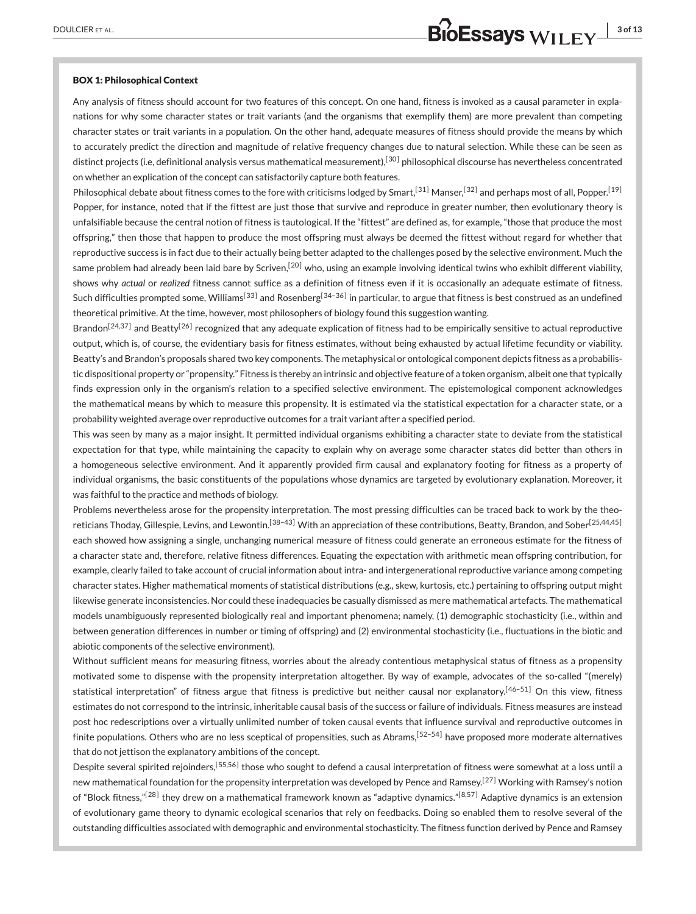#### **BOX 1: Philosophical Context**

Any analysis of fitness should account for two features of this concept. On one hand, fitness is invoked as a causal parameter in explanations for why some character states or trait variants (and the organisms that exemplify them) are more prevalent than competing character states or trait variants in a population. On the other hand, adequate measures of fitness should provide the means by which to accurately predict the direction and magnitude of relative frequency changes due to natural selection. While these can be seen as distinct projects (i.e, definitional analysis versus mathematical measurement).<sup>[30]</sup> philosophical discourse has nevertheless concentrated on whether an explication of the concept can satisfactorily capture both features.

Philosophical debate about fitness comes to the fore with criticisms lodged by Smart.<sup>[31]</sup> Manser.<sup>[32]</sup> and perhaps most of all, Popper.<sup>[19]</sup> Popper, for instance, noted that if the fittest are just those that survive and reproduce in greater number, then evolutionary theory is unfalsifiable because the central notion of fitness is tautological. If the "fittest" are defined as, for example, "those that produce the most offspring," then those that happen to produce the most offspring must always be deemed the fittest without regard for whether that reproductive success is in fact due to their actually being better adapted to the challenges posed by the selective environment. Much the same problem had already been laid bare by Scriven,<sup>[20]</sup> who, using an example involving identical twins who exhibit different viability, shows why *actual* or *realized* fitness cannot suffice as a definition of fitness even if it is occasionally an adequate estimate of fitness. Such difficulties prompted some, Williams<sup>[33]</sup> and Rosenberg<sup>[34-36]</sup> in particular, to argue that fitness is best construed as an undefined theoretical primitive. At the time, however, most philosophers of biology found this suggestion wanting.

Brandon<sup>[24,37]</sup> and Beatty<sup>[26]</sup> recognized that any adequate explication of fitness had to be empirically sensitive to actual reproductive output, which is, of course, the evidentiary basis for fitness estimates, without being exhausted by actual lifetime fecundity or viability. Beatty's and Brandon's proposals shared two key components. The metaphysical or ontological component depicts fitness as a probabilistic dispositional property or "propensity." Fitness is thereby an intrinsic and objective feature of a token organism, albeit one that typically finds expression only in the organism's relation to a specified selective environment. The epistemological component acknowledges the mathematical means by which to measure this propensity. It is estimated via the statistical expectation for a character state, or a probability weighted average over reproductive outcomes for a trait variant after a specified period.

This was seen by many as a major insight. It permitted individual organisms exhibiting a character state to deviate from the statistical expectation for that type, while maintaining the capacity to explain why on average some character states did better than others in a homogeneous selective environment. And it apparently provided firm causal and explanatory footing for fitness as a property of individual organisms, the basic constituents of the populations whose dynamics are targeted by evolutionary explanation. Moreover, it was faithful to the practice and methods of biology.

Problems nevertheless arose for the propensity interpretation. The most pressing difficulties can be traced back to work by the theoreticians Thoday, Gillespie, Levins, and Lewontin.<sup>[38-43]</sup> With an appreciation of these contributions, Beatty, Brandon, and Sober<sup>[25,44,45]</sup> each showed how assigning a single, unchanging numerical measure of fitness could generate an erroneous estimate for the fitness of a character state and, therefore, relative fitness differences. Equating the expectation with arithmetic mean offspring contribution, for example, clearly failed to take account of crucial information about intra- and intergenerational reproductive variance among competing character states. Higher mathematical moments of statistical distributions (e.g., skew, kurtosis, etc.) pertaining to offspring output might likewise generate inconsistencies. Nor could these inadequacies be casually dismissed as mere mathematical artefacts. The mathematical models unambiguously represented biologically real and important phenomena; namely, (1) demographic stochasticity (i.e., within and between generation differences in number or timing of offspring) and (2) environmental stochasticity (i.e., fluctuations in the biotic and abiotic components of the selective environment).

Without sufficient means for measuring fitness, worries about the already contentious metaphysical status of fitness as a propensity motivated some to dispense with the propensity interpretation altogether. By way of example, advocates of the so-called "(merely) statistical interpretation" of fitness argue that fitness is predictive but neither causal nor explanatory.<sup>[46-51]</sup> On this view, fitness estimates do not correspond to the intrinsic, inheritable causal basis of the success or failure of individuals. Fitness measures are instead post hoc redescriptions over a virtually unlimited number of token causal events that influence survival and reproductive outcomes in finite populations. Others who are no less sceptical of propensities, such as Abrams,<sup>[52–54]</sup> have proposed more moderate alternatives that do not jettison the explanatory ambitions of the concept.

Despite several spirited rejoinders,<sup>[55,56]</sup> those who sought to defend a causal interpretation of fitness were somewhat at a loss until a new mathematical foundation for the propensity interpretation was developed by Pence and Ramsey.<sup>[27]</sup> Working with Ramsey's notion of "Block fitness,"<sup>[28]</sup> they drew on a mathematical framework known as "adaptive dynamics."<sup>[8,57]</sup> Adaptive dynamics is an extension of evolutionary game theory to dynamic ecological scenarios that rely on feedbacks. Doing so enabled them to resolve several of the outstanding difficulties associated with demographic and environmental stochasticity. The fitness function derived by Pence and Ramsey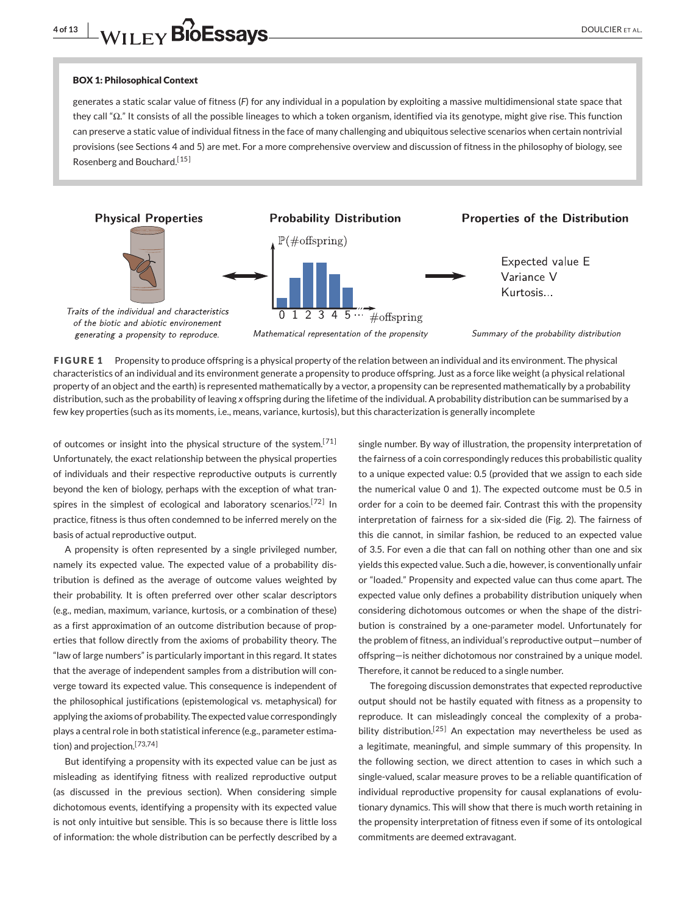#### **BOX 1: Philosophical Context**

generates a static scalar value of fitness (*F*) for any individual in a population by exploiting a massive multidimensional state space that they call "Ω." It consists of all the possible lineages to which a token organism, identified via its genotype, might give rise. This function can preserve a static value of individual fitness in the face of many challenging and ubiquitous selective scenarios when certain nontrivial provisions (see Sections 4 and 5) are met. For a more comprehensive overview and discussion of fitness in the philosophy of biology, see Rosenberg and Bouchard.[15 ]



**FIGURE 1** Propensity to produce offspring is a physical property of the relation between an individual and its environment. The physical characteristics of an individual and its environment generate a propensity to produce offspring. Just as a force like weight (a physical relational property of an object and the earth) is represented mathematically by a vector, a propensity can be represented mathematically by a probability distribution, such as the probability of leaving *x* offspring during the lifetime of the individual. A probability distribution can be summarised by a few key properties (such as its moments, i.e., means, variance, kurtosis), but this characterization is generally incomplete

of outcomes or insight into the physical structure of the system.<sup>[71]</sup> Unfortunately, the exact relationship between the physical properties of individuals and their respective reproductive outputs is currently beyond the ken of biology, perhaps with the exception of what transpires in the simplest of ecological and laboratory scenarios.<sup>[72]</sup> In practice, fitness is thus often condemned to be inferred merely on the basis of actual reproductive output.

A propensity is often represented by a single privileged number, namely its expected value. The expected value of a probability distribution is defined as the average of outcome values weighted by their probability. It is often preferred over other scalar descriptors (e.g., median, maximum, variance, kurtosis, or a combination of these) as a first approximation of an outcome distribution because of properties that follow directly from the axioms of probability theory. The "law of large numbers" is particularly important in this regard. It states that the average of independent samples from a distribution will converge toward its expected value. This consequence is independent of the philosophical justifications (epistemological vs. metaphysical) for applying the axioms of probability. The expected value correspondingly plays a central role in both statistical inference (e.g., parameter estimation) and projection.<sup>[73,74]</sup>

But identifying a propensity with its expected value can be just as misleading as identifying fitness with realized reproductive output (as discussed in the previous section). When considering simple dichotomous events, identifying a propensity with its expected value is not only intuitive but sensible. This is so because there is little loss of information: the whole distribution can be perfectly described by a

single number. By way of illustration, the propensity interpretation of the fairness of a coin correspondingly reduces this probabilistic quality to a unique expected value: 0.5 (provided that we assign to each side the numerical value 0 and 1). The expected outcome must be 0.5 in order for a coin to be deemed fair. Contrast this with the propensity interpretation of fairness for a six-sided die (Fig. 2). The fairness of this die cannot, in similar fashion, be reduced to an expected value of 3.5. For even a die that can fall on nothing other than one and six yields this expected value. Such a die, however, is conventionally unfair or "loaded." Propensity and expected value can thus come apart. The expected value only defines a probability distribution uniquely when considering dichotomous outcomes or when the shape of the distribution is constrained by a one-parameter model. Unfortunately for the problem of fitness, an individual's reproductive output—number of offspring—is neither dichotomous nor constrained by a unique model. Therefore, it cannot be reduced to a single number.

The foregoing discussion demonstrates that expected reproductive output should not be hastily equated with fitness as a propensity to reproduce. It can misleadingly conceal the complexity of a probability distribution.<sup>[25]</sup> An expectation may nevertheless be used as a legitimate, meaningful, and simple summary of this propensity. In the following section, we direct attention to cases in which such a single-valued, scalar measure proves to be a reliable quantification of individual reproductive propensity for causal explanations of evolutionary dynamics. This will show that there is much worth retaining in the propensity interpretation of fitness even if some of its ontological commitments are deemed extravagant.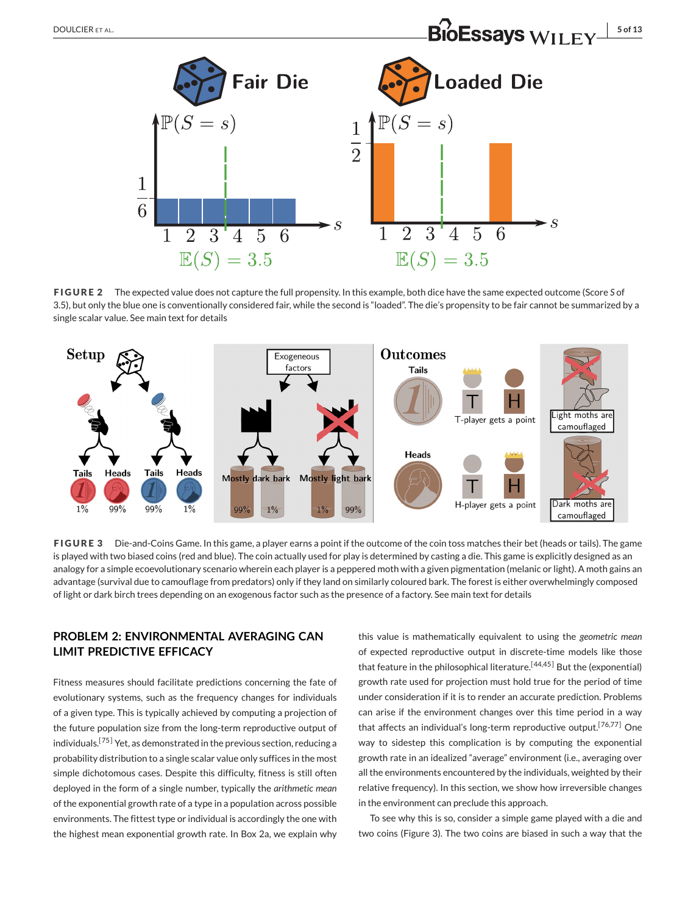

**FIGURE 2** The expected value does not capture the full propensity. In this example, both dice have the same expected outcome (Score *S* of 3.5), but only the blue one is conventionally considered fair, while the second is "loaded". The die's propensity to be fair cannot be summarized by a single scalar value. See main text for details



**FIGURE 3** Die-and-Coins Game. In this game, a player earns a point if the outcome of the coin toss matches their bet (heads or tails). The game is played with two biased coins (red and blue). The coin actually used for play is determined by casting a die. This game is explicitly designed as an analogy for a simple ecoevolutionary scenario wherein each player is a peppered moth with a given pigmentation (melanic or light). A moth gains an advantage (survival due to camouflage from predators) only if they land on similarly coloured bark. The forest is either overwhelmingly composed of light or dark birch trees depending on an exogenous factor such as the presence of a factory. See main text for details

## **PROBLEM 2: ENVIRONMENTAL AVERAGING CAN LIMIT PREDICTIVE EFFICACY**

Fitness measures should facilitate predictions concerning the fate of evolutionary systems, such as the frequency changes for individuals of a given type. This is typically achieved by computing a projection of the future population size from the long-term reproductive output of individuals.<sup>[75]</sup> Yet, as demonstrated in the previous section, reducing a probability distribution to a single scalar value only suffices in the most simple dichotomous cases. Despite this difficulty, fitness is still often deployed in the form of a single number, typically the *arithmetic mean* of the exponential growth rate of a type in a population across possible environments. The fittest type or individual is accordingly the one with the highest mean exponential growth rate. In Box 2a, we explain why

this value is mathematically equivalent to using the *geometric mean* of expected reproductive output in discrete-time models like those that feature in the philosophical literature.<sup>[44,45]</sup> But the (exponential) growth rate used for projection must hold true for the period of time under consideration if it is to render an accurate prediction. Problems can arise if the environment changes over this time period in a way that affects an individual's long-term reproductive output.<sup>[76,77]</sup> One way to sidestep this complication is by computing the exponential growth rate in an idealized "average" environment (i.e., averaging over all the environments encountered by the individuals, weighted by their relative frequency). In this section, we show how irreversible changes in the environment can preclude this approach.

To see why this is so, consider a simple game played with a die and two coins (Figure 3). The two coins are biased in such a way that the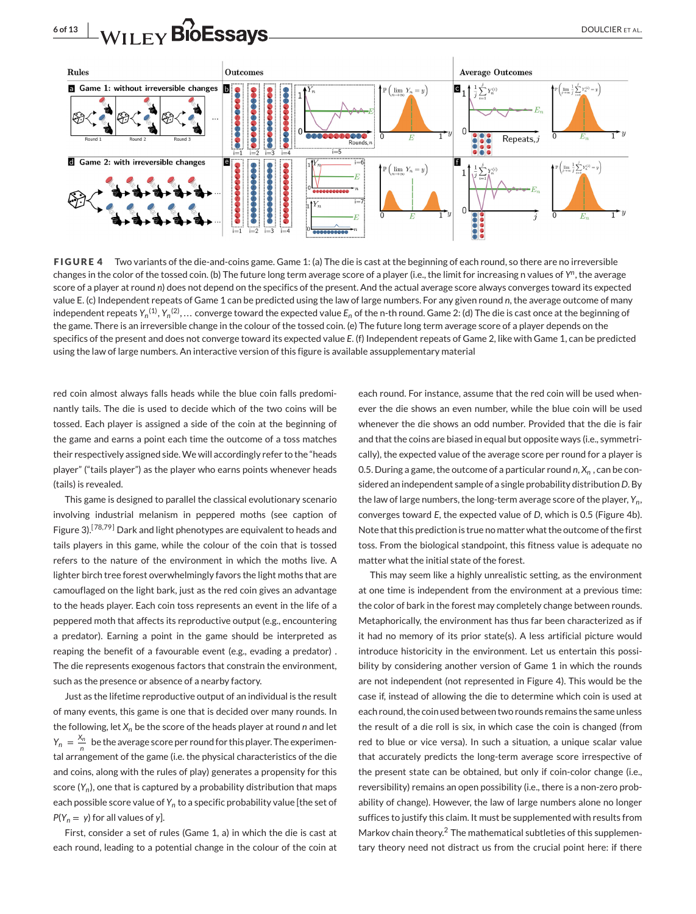



**FIGURE 4** Two variants of the die-and-coins game. Game 1: (a) The die is cast at the beginning of each round, so there are no irreversible changes in the color of the tossed coin. (b) The future long term average score of a player (i.e., the limit for increasing n values of *Yn*, the average score of a player at round *n*) does not depend on the specifics of the present. And the actual average score always converges toward its expected value E. (c) Independent repeats of Game 1 can be predicted using the law of large numbers. For any given round *n*, the average outcome of many independent repeats Y<sub>n</sub>(1), Y<sub>n</sub>(2), … converge toward the expected value E<sub>n</sub> of the n-th round. Game 2: (d) The die is cast once at the beginning of the game. There is an irreversible change in the colour of the tossed coin. (e) The future long term average score of a player depends on the specifics of the present and does not converge toward its expected value *E*. (f) Independent repeats of Game 2, like with Game 1, can be predicted using the law of large numbers. An interactive version of this figure is available assupplementary material

red coin almost always falls heads while the blue coin falls predominantly tails. The die is used to decide which of the two coins will be tossed. Each player is assigned a side of the coin at the beginning of the game and earns a point each time the outcome of a toss matches their respectively assigned side.We will accordingly refer to the "heads player" ("tails player") as the player who earns points whenever heads (tails) is revealed.

This game is designed to parallel the classical evolutionary scenario involving industrial melanism in peppered moths (see caption of Figure 3).<sup>[78,79]</sup> Dark and light phenotypes are equivalent to heads and tails players in this game, while the colour of the coin that is tossed refers to the nature of the environment in which the moths live. A lighter birch tree forest overwhelmingly favors the light moths that are camouflaged on the light bark, just as the red coin gives an advantage to the heads player. Each coin toss represents an event in the life of a peppered moth that affects its reproductive output (e.g., encountering a predator). Earning a point in the game should be interpreted as reaping the benefit of a favourable event (e.g., evading a predator) . The die represents exogenous factors that constrain the environment, such as the presence or absence of a nearby factory.

Just as the lifetime reproductive output of an individual is the result of many events, this game is one that is decided over many rounds. In the following, let *Xn* be the score of the heads player at round *n* and let  $Y_n = \frac{X_n}{n}$  be the average score per round for this player. The experimental arrangement of the game (i.e. the physical characteristics of the die and coins, along with the rules of play) generates a propensity for this score  $(Y_n)$ , one that is captured by a probability distribution that maps each possible score value of *Yn* to a specific probability value [the set of  $P(Y_n = y)$  for all values of y].

First, consider a set of rules (Game 1, a) in which the die is cast at each round, leading to a potential change in the colour of the coin at

each round. For instance, assume that the red coin will be used whenever the die shows an even number, while the blue coin will be used whenever the die shows an odd number. Provided that the die is fair and that the coins are biased in equal but opposite ways (i.e., symmetrically), the expected value of the average score per round for a player is 0.5. During a game, the outcome of a particular round  $n, X_n$ , can be considered an independent sample of a single probability distribution*D*. By the law of large numbers, the long-term average score of the player, *Yn*, converges toward *E*, the expected value of *D*, which is 0.5 (Figure 4b). Note that this prediction is true no matter what the outcome of the first toss. From the biological standpoint, this fitness value is adequate no matter what the initial state of the forest.

This may seem like a highly unrealistic setting, as the environment at one time is independent from the environment at a previous time: the color of bark in the forest may completely change between rounds. Metaphorically, the environment has thus far been characterized as if it had no memory of its prior state(s). A less artificial picture would introduce historicity in the environment. Let us entertain this possibility by considering another version of Game 1 in which the rounds are not independent (not represented in Figure 4). This would be the case if, instead of allowing the die to determine which coin is used at each round, the coin used between two rounds remains the same unless the result of a die roll is six, in which case the coin is changed (from red to blue or vice versa). In such a situation, a unique scalar value that accurately predicts the long-term average score irrespective of the present state can be obtained, but only if coin-color change (i.e., reversibility) remains an open possibility (i.e., there is a non-zero probability of change). However, the law of large numbers alone no longer suffices to justify this claim. It must be supplemented with results from Markov chain theory.<sup>2</sup> The mathematical subtleties of this supplementary theory need not distract us from the crucial point here: if there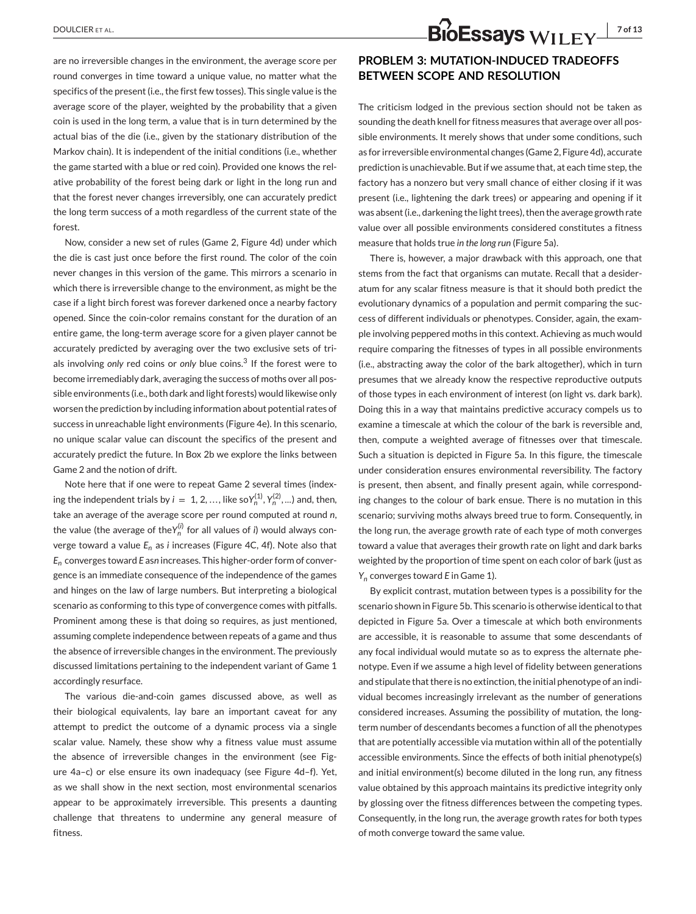are no irreversible changes in the environment, the average score per round converges in time toward a unique value, no matter what the specifics of the present (i.e., the first few tosses). This single value is the average score of the player, weighted by the probability that a given coin is used in the long term, a value that is in turn determined by the actual bias of the die (i.e., given by the stationary distribution of the Markov chain). It is independent of the initial conditions (i.e., whether the game started with a blue or red coin). Provided one knows the relative probability of the forest being dark or light in the long run and that the forest never changes irreversibly, one can accurately predict the long term success of a moth regardless of the current state of the forest.

Now, consider a new set of rules (Game 2, Figure 4d) under which the die is cast just once before the first round. The color of the coin never changes in this version of the game. This mirrors a scenario in which there is irreversible change to the environment, as might be the case if a light birch forest was forever darkened once a nearby factory opened. Since the coin-color remains constant for the duration of an entire game, the long-term average score for a given player cannot be accurately predicted by averaging over the two exclusive sets of trials involving *only* red coins or *only* blue coins.<sup>3</sup> If the forest were to become irremediably dark, averaging the success of moths over all possible environments (i.e., both dark and light forests) would likewise only worsen the prediction by including information about potential rates of success in unreachable light environments (Figure 4e). In this scenario, no unique scalar value can discount the specifics of the present and accurately predict the future. In Box 2b we explore the links between Game 2 and the notion of drift.

Note here that if one were to repeat Game 2 several times (indexing the independent trials by  $i = 1, 2, ...,$  like so $Y_n^{(1)}, Y_n^{(2)}, ...$ ) and, then, take an average of the average score per round computed at round *n*, the value (the average of the $Y_n^{(i)}$  for all values of *i*) would always converge toward a value *En* as *i* increases (Figure 4C, 4f). Note also that *En* converges toward *E* as*n* increases. This higher-order form of convergence is an immediate consequence of the independence of the games and hinges on the law of large numbers. But interpreting a biological scenario as conforming to this type of convergence comes with pitfalls. Prominent among these is that doing so requires, as just mentioned, assuming complete independence between repeats of a game and thus the absence of irreversible changes in the environment. The previously discussed limitations pertaining to the independent variant of Game 1 accordingly resurface.

The various die-and-coin games discussed above, as well as their biological equivalents, lay bare an important caveat for any attempt to predict the outcome of a dynamic process via a single scalar value. Namely, these show why a fitness value must assume the absence of irreversible changes in the environment (see Figure 4a–c) or else ensure its own inadequacy (see Figure 4d–f). Yet, as we shall show in the next section, most environmental scenarios appear to be approximately irreversible. This presents a daunting challenge that threatens to undermine any general measure of fitness.

## **PROBLEM 3: MUTATION-INDUCED TRADEOFFS BETWEEN SCOPE AND RESOLUTION**

The criticism lodged in the previous section should not be taken as sounding the death knell for fitness measures that average over all possible environments. It merely shows that under some conditions, such as for irreversible environmental changes (Game 2, Figure 4d), accurate prediction is unachievable. But if we assume that, at each time step, the factory has a nonzero but very small chance of either closing if it was present (i.e., lightening the dark trees) or appearing and opening if it was absent (i.e., darkening the light trees), then the average growth rate value over all possible environments considered constitutes a fitness measure that holds true *in the long run* (Figure 5a).

There is, however, a major drawback with this approach, one that stems from the fact that organisms can mutate. Recall that a desideratum for any scalar fitness measure is that it should both predict the evolutionary dynamics of a population and permit comparing the success of different individuals or phenotypes. Consider, again, the example involving peppered moths in this context. Achieving as much would require comparing the fitnesses of types in all possible environments (i.e., abstracting away the color of the bark altogether), which in turn presumes that we already know the respective reproductive outputs of those types in each environment of interest (on light vs. dark bark). Doing this in a way that maintains predictive accuracy compels us to examine a timescale at which the colour of the bark is reversible and, then, compute a weighted average of fitnesses over that timescale. Such a situation is depicted in Figure 5a. In this figure, the timescale under consideration ensures environmental reversibility. The factory is present, then absent, and finally present again, while corresponding changes to the colour of bark ensue. There is no mutation in this scenario; surviving moths always breed true to form. Consequently, in the long run, the average growth rate of each type of moth converges toward a value that averages their growth rate on light and dark barks weighted by the proportion of time spent on each color of bark (just as *Yn* converges toward *E* in Game 1).

By explicit contrast, mutation between types is a possibility for the scenario shown in Figure 5b. This scenario is otherwise identical to that depicted in Figure 5a. Over a timescale at which both environments are accessible, it is reasonable to assume that some descendants of any focal individual would mutate so as to express the alternate phenotype. Even if we assume a high level of fidelity between generations and stipulate that there is no extinction, the initial phenotype of an individual becomes increasingly irrelevant as the number of generations considered increases. Assuming the possibility of mutation, the longterm number of descendants becomes a function of all the phenotypes that are potentially accessible via mutation within all of the potentially accessible environments. Since the effects of both initial phenotype(s) and initial environment(s) become diluted in the long run, any fitness value obtained by this approach maintains its predictive integrity only by glossing over the fitness differences between the competing types. Consequently, in the long run, the average growth rates for both types of moth converge toward the same value.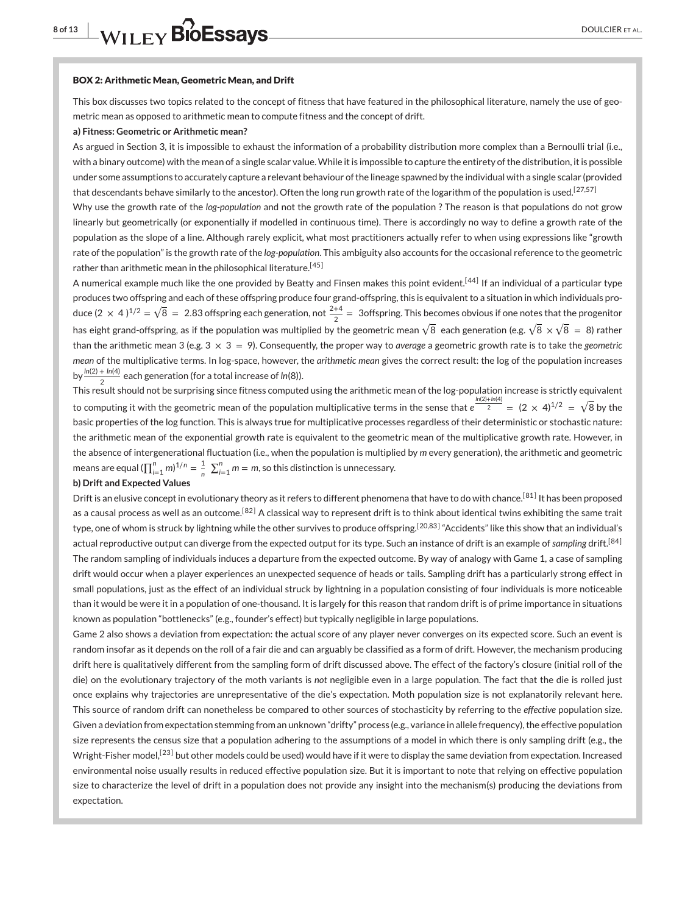#### **BOX 2: Arithmetic Mean, Geometric Mean, and Drift**

This box discusses two topics related to the concept of fitness that have featured in the philosophical literature, namely the use of geometric mean as opposed to arithmetic mean to compute fitness and the concept of drift.

#### **a) Fitness: Geometric or Arithmetic mean?**

As argued in Section 3, it is impossible to exhaust the information of a probability distribution more complex than a Bernoulli trial (i.e., with a binary outcome) with the mean of a single scalar value. While it is impossible to capture the entirety of the distribution, it is possible under some assumptions to accurately capture a relevant behaviour of the lineage spawned by the individual with a single scalar (provided that descendants behave similarly to the ancestor). Often the long run growth rate of the logarithm of the population is used.<sup>[27,57]</sup>

Why use the growth rate of the *log-population* and not the growth rate of the population ? The reason is that populations do not grow linearly but geometrically (or exponentially if modelled in continuous time). There is accordingly no way to define a growth rate of the population as the slope of a line. Although rarely explicit, what most practitioners actually refer to when using expressions like "growth rate of the population" is the growth rate of the *log-population*. This ambiguity also accounts for the occasional reference to the geometric rather than arithmetic mean in the philosophical literature.<sup>[45]</sup>

A numerical example much like the one provided by Beatty and Finsen makes this point evident.<sup>[44]</sup> If an individual of a particular type produces two offspring and each of these offspring produce four grand-offspring, this is equivalent to a situation in which individuals produce (2  $\times$  4 )<sup>1/2</sup> =  $\sqrt{8}$  = 2.83 offspring each generation, not  $\frac{2+4}{2}$  = 3offspring. This becomes obvious if one notes that the progenitor has eight grand-offspring, as if the population was multiplied by the geometric mean  $\sqrt{8}\,$  each generation (e.g.  $\sqrt{8}\,\times\sqrt{8}\,=\,8$ ) rather than the arithmetic mean 3 (e.g. 3 × 3 = 9). Consequently, the proper way to *average* a geometric growth rate is to take the *geometric mean* of the multiplicative terms. In log-space, however, the *arithmetic mean* gives the correct result: the log of the population increases by  $\frac{ln(2) + ln(4)}{2}$  each generation (for a total increase of  $ln(8)$ ).

This result should not be surprising since fitness computed using the arithmetic mean of the log-population increase is strictly equivalent to computing it with the geometric mean of the population multiplicative terms in the sense that  $e^{\frac{\ln(2)+\ln(4)}{2}}=(2\times4)^{1/2}\ =\ \sqrt{8}$  by the basic properties of the log function. This is always true for multiplicative processes regardless of their deterministic or stochastic nature: the arithmetic mean of the exponential growth rate is equivalent to the geometric mean of the multiplicative growth rate. However, in the absence of intergenerational fluctuation (i.e., when the population is multiplied by *m* every generation), the arithmetic and geometric means are equal  $(\prod_{i=1}^{n} m)^{1/n} = \frac{1}{n} \sum_{i=1}^{n} m = m$ , so this distinction is unnecessary.

#### **b) Drift and Expected Values**

Drift is an elusive concept in evolutionary theory as it refers to different phenomena that have to do with chance.<sup>[81]</sup> It has been proposed as a causal process as well as an outcome.<sup>[82]</sup> A classical way to represent drift is to think about identical twins exhibiting the same trait type, one of whom is struck by lightning while the other survives to produce offspring.<sup>[20,83]</sup> "Accidents" like this show that an individual's actual reproductive output can diverge from the expected output for its type. Such an instance of drift is an example of *sampling* drift.<sup>[84]</sup> The random sampling of individuals induces a departure from the expected outcome. By way of analogy with Game 1, a case of sampling drift would occur when a player experiences an unexpected sequence of heads or tails. Sampling drift has a particularly strong effect in small populations, just as the effect of an individual struck by lightning in a population consisting of four individuals is more noticeable than it would be were it in a population of one-thousand. It is largely for this reason that random drift is of prime importance in situations known as population "bottlenecks" (e.g., founder's effect) but typically negligible in large populations.

Game 2 also shows a deviation from expectation: the actual score of any player never converges on its expected score. Such an event is random insofar as it depends on the roll of a fair die and can arguably be classified as a form of drift. However, the mechanism producing drift here is qualitatively different from the sampling form of drift discussed above. The effect of the factory's closure (initial roll of the die) on the evolutionary trajectory of the moth variants is *not* negligible even in a large population. The fact that the die is rolled just once explains why trajectories are unrepresentative of the die's expectation. Moth population size is not explanatorily relevant here. This source of random drift can nonetheless be compared to other sources of stochasticity by referring to the *effective* population size. Given a deviation from expectation stemming from an unknown "drifty" process (e.g., variance in allele frequency), the effective population size represents the census size that a population adhering to the assumptions of a model in which there is only sampling drift (e.g., the Wright-Fisher model,<sup>[23]</sup> but other models could be used) would have if it were to display the same deviation from expectation. Increased environmental noise usually results in reduced effective population size. But it is important to note that relying on effective population size to characterize the level of drift in a population does not provide any insight into the mechanism(s) producing the deviations from expectation.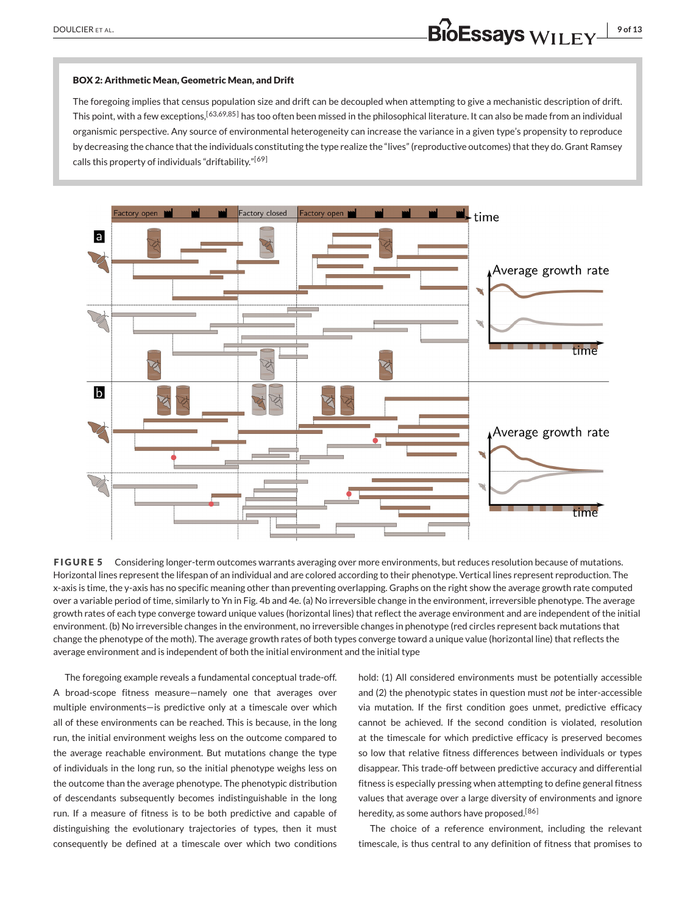#### **BOX 2: Arithmetic Mean, Geometric Mean, and Drift**

The foregoing implies that census population size and drift can be decoupled when attempting to give a mechanistic description of drift. This point, with a few exceptions,<sup>[63,69,85]</sup> has too often been missed in the philosophical literature. It can also be made from an individual organismic perspective. Any source of environmental heterogeneity can increase the variance in a given type's propensity to reproduce by decreasing the chance that the individuals constituting the type realize the "lives" (reproductive outcomes) that they do. Grant Ramsey calls this property of individuals "driftability."[69]



**FIGURE 5** Considering longer-term outcomes warrants averaging over more environments, but reduces resolution because of mutations. Horizontal lines represent the lifespan of an individual and are colored according to their phenotype. Vertical lines represent reproduction. The x-axis is time, the y-axis has no specific meaning other than preventing overlapping. Graphs on the right show the average growth rate computed over a variable period of time, similarly to Yn in Fig. 4b and 4e. (a) No irreversible change in the environment, irreversible phenotype. The average growth rates of each type converge toward unique values (horizontal lines) that reflect the average environment and are independent of the initial environment. (b) No irreversible changes in the environment, no irreversible changes in phenotype (red circles represent back mutations that change the phenotype of the moth). The average growth rates of both types converge toward a unique value (horizontal line) that reflects the average environment and is independent of both the initial environment and the initial type

The foregoing example reveals a fundamental conceptual trade-off. A broad-scope fitness measure—namely one that averages over multiple environments—is predictive only at a timescale over which all of these environments can be reached. This is because, in the long run, the initial environment weighs less on the outcome compared to the average reachable environment. But mutations change the type of individuals in the long run, so the initial phenotype weighs less on the outcome than the average phenotype. The phenotypic distribution of descendants subsequently becomes indistinguishable in the long run. If a measure of fitness is to be both predictive and capable of distinguishing the evolutionary trajectories of types, then it must consequently be defined at a timescale over which two conditions hold: (1) All considered environments must be potentially accessible and (2) the phenotypic states in question must *not* be inter-accessible via mutation. If the first condition goes unmet, predictive efficacy cannot be achieved. If the second condition is violated, resolution at the timescale for which predictive efficacy is preserved becomes so low that relative fitness differences between individuals or types disappear. This trade-off between predictive accuracy and differential fitness is especially pressing when attempting to define general fitness values that average over a large diversity of environments and ignore heredity, as some authors have proposed.<sup>[86]</sup>

The choice of a reference environment, including the relevant timescale, is thus central to any definition of fitness that promises to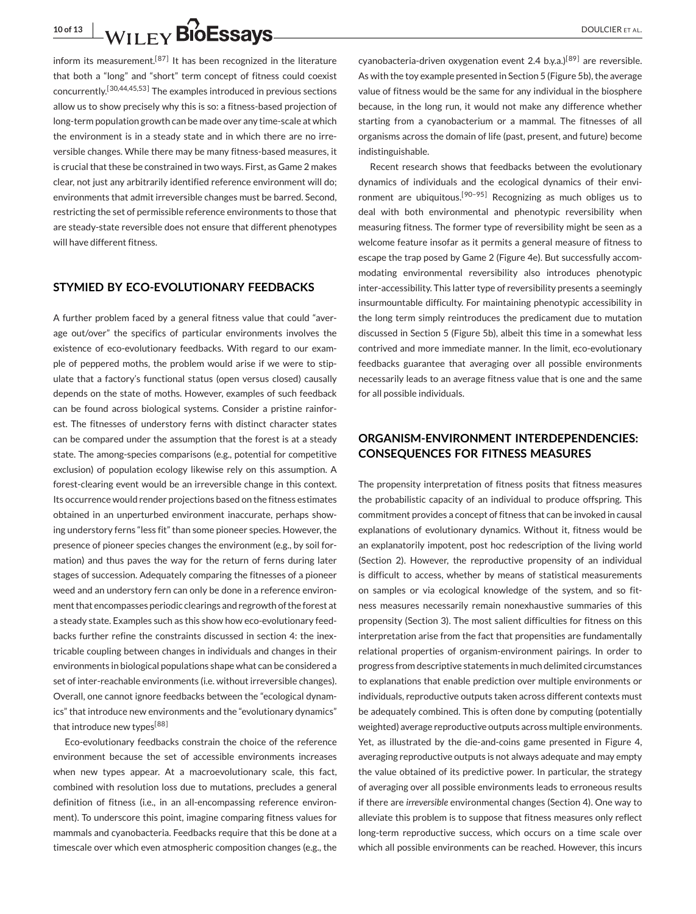inform its measurement.<sup>[87]</sup> It has been recognized in the literature that both a "long" and "short" term concept of fitness could coexist concurrently.<sup>[30,44,45,53]</sup> The examples introduced in previous sections allow us to show precisely why this is so: a fitness-based projection of long-term population growth can be made over any time-scale at which the environment is in a steady state and in which there are no irreversible changes. While there may be many fitness-based measures, it is crucial that these be constrained in two ways. First, as Game 2 makes clear, not just any arbitrarily identified reference environment will do; environments that admit irreversible changes must be barred. Second, restricting the set of permissible reference environments to those that are steady-state reversible does not ensure that different phenotypes will have different fitness.

## **STYMIED BY ECO-EVOLUTIONARY FEEDBACKS**

A further problem faced by a general fitness value that could "average out/over" the specifics of particular environments involves the existence of eco-evolutionary feedbacks. With regard to our example of peppered moths, the problem would arise if we were to stipulate that a factory's functional status (open versus closed) causally depends on the state of moths. However, examples of such feedback can be found across biological systems. Consider a pristine rainforest. The fitnesses of understory ferns with distinct character states can be compared under the assumption that the forest is at a steady state. The among-species comparisons (e.g., potential for competitive exclusion) of population ecology likewise rely on this assumption. A forest-clearing event would be an irreversible change in this context. Its occurrence would render projections based on the fitness estimates obtained in an unperturbed environment inaccurate, perhaps showing understory ferns "less fit" than some pioneer species. However, the presence of pioneer species changes the environment (e.g., by soil formation) and thus paves the way for the return of ferns during later stages of succession. Adequately comparing the fitnesses of a pioneer weed and an understory fern can only be done in a reference environment that encompasses periodic clearings and regrowth of the forest at a steady state. Examples such as this show how eco-evolutionary feedbacks further refine the constraints discussed in section 4: the inextricable coupling between changes in individuals and changes in their environments in biological populations shape what can be considered a set of inter-reachable environments (i.e. without irreversible changes). Overall, one cannot ignore feedbacks between the "ecological dynamics" that introduce new environments and the "evolutionary dynamics" that introduce new types<sup>[88]</sup>

Eco-evolutionary feedbacks constrain the choice of the reference environment because the set of accessible environments increases when new types appear. At a macroevolutionary scale, this fact, combined with resolution loss due to mutations, precludes a general definition of fitness (i.e., in an all-encompassing reference environment). To underscore this point, imagine comparing fitness values for mammals and cyanobacteria. Feedbacks require that this be done at a timescale over which even atmospheric composition changes (e.g., the

cyanobacteria-driven oxygenation event 2.4 b.v.a.)<sup>[89]</sup> are reversible. As with the toy example presented in Section 5 (Figure 5b), the average value of fitness would be the same for any individual in the biosphere because, in the long run, it would not make any difference whether starting from a cyanobacterium or a mammal. The fitnesses of all organisms across the domain of life (past, present, and future) become indistinguishable.

Recent research shows that feedbacks between the evolutionary dynamics of individuals and the ecological dynamics of their environment are ubiquitous.<sup>[90-95]</sup> Recognizing as much obliges us to deal with both environmental and phenotypic reversibility when measuring fitness. The former type of reversibility might be seen as a welcome feature insofar as it permits a general measure of fitness to escape the trap posed by Game 2 (Figure 4e). But successfully accommodating environmental reversibility also introduces phenotypic inter-accessibility. This latter type of reversibility presents a seemingly insurmountable difficulty. For maintaining phenotypic accessibility in the long term simply reintroduces the predicament due to mutation discussed in Section 5 (Figure 5b), albeit this time in a somewhat less contrived and more immediate manner. In the limit, eco-evolutionary feedbacks guarantee that averaging over all possible environments necessarily leads to an average fitness value that is one and the same for all possible individuals.

## **ORGANISM-ENVIRONMENT INTERDEPENDENCIES: CONSEQUENCES FOR FITNESS MEASURES**

The propensity interpretation of fitness posits that fitness measures the probabilistic capacity of an individual to produce offspring. This commitment provides a concept of fitness that can be invoked in causal explanations of evolutionary dynamics. Without it, fitness would be an explanatorily impotent, post hoc redescription of the living world (Section 2). However, the reproductive propensity of an individual is difficult to access, whether by means of statistical measurements on samples or via ecological knowledge of the system, and so fitness measures necessarily remain nonexhaustive summaries of this propensity (Section 3). The most salient difficulties for fitness on this interpretation arise from the fact that propensities are fundamentally relational properties of organism-environment pairings. In order to progress from descriptive statements in much delimited circumstances to explanations that enable prediction over multiple environments or individuals, reproductive outputs taken across different contexts must be adequately combined. This is often done by computing (potentially weighted) average reproductive outputs across multiple environments. Yet, as illustrated by the die-and-coins game presented in Figure 4, averaging reproductive outputs is not always adequate and may empty the value obtained of its predictive power. In particular, the strategy of averaging over all possible environments leads to erroneous results if there are *irreversible* environmental changes (Section 4). One way to alleviate this problem is to suppose that fitness measures only reflect long-term reproductive success, which occurs on a time scale over which all possible environments can be reached. However, this incurs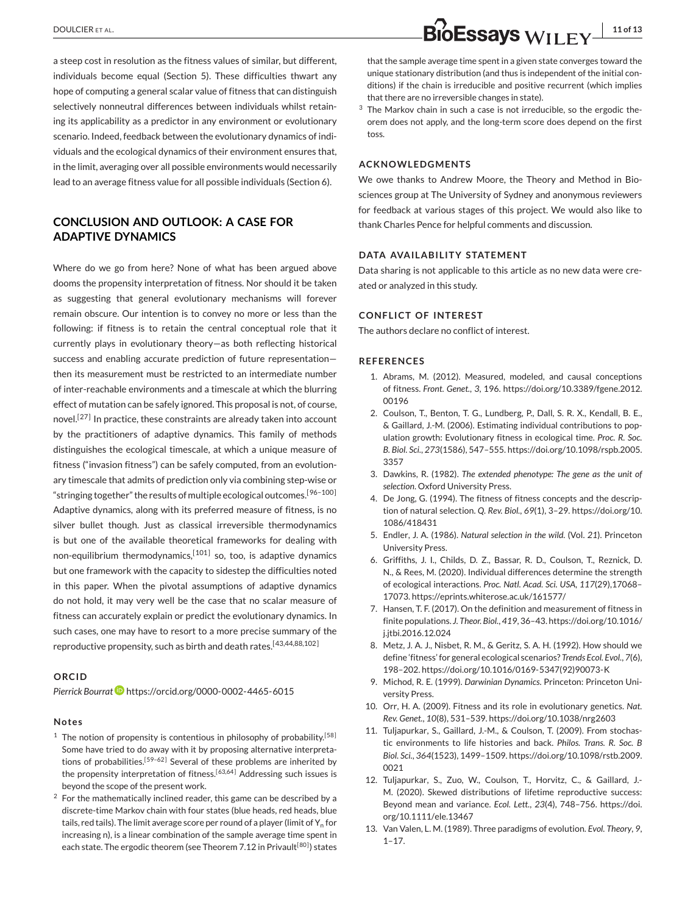a steep cost in resolution as the fitness values of similar, but different, individuals become equal (Section 5). These difficulties thwart any hope of computing a general scalar value of fitness that can distinguish selectively nonneutral differences between individuals whilst retaining its applicability as a predictor in any environment or evolutionary scenario. Indeed, feedback between the evolutionary dynamics of individuals and the ecological dynamics of their environment ensures that, in the limit, averaging over all possible environments would necessarily lead to an average fitness value for all possible individuals (Section 6).

## **CONCLUSION AND OUTLOOK: A CASE FOR ADAPTIVE DYNAMICS**

Where do we go from here? None of what has been argued above dooms the propensity interpretation of fitness. Nor should it be taken as suggesting that general evolutionary mechanisms will forever remain obscure. Our intention is to convey no more or less than the following: if fitness is to retain the central conceptual role that it currently plays in evolutionary theory—as both reflecting historical success and enabling accurate prediction of future representation then its measurement must be restricted to an intermediate number of inter-reachable environments and a timescale at which the blurring effect of mutation can be safely ignored. This proposal is not, of course, novel.<sup>[27]</sup> In practice, these constraints are already taken into account by the practitioners of adaptive dynamics. This family of methods distinguishes the ecological timescale, at which a unique measure of fitness ("invasion fitness") can be safely computed, from an evolutionary timescale that admits of prediction only via combining step-wise or "stringing together" the results of multiple ecological outcomes.<sup>[96-100]</sup> Adaptive dynamics, along with its preferred measure of fitness, is no silver bullet though. Just as classical irreversible thermodynamics is but one of the available theoretical frameworks for dealing with non-equilibrium thermodynamics, $[101]$  so, too, is adaptive dynamics but one framework with the capacity to sidestep the difficulties noted in this paper. When the pivotal assumptions of adaptive dynamics do not hold, it may very well be the case that no scalar measure of fitness can accurately explain or predict the evolutionary dynamics. In such cases, one may have to resort to a more precise summary of the reproductive propensity, such as birth and death rates.<sup>[43,44,88,102]</sup>

#### **ORCID**

*Pierrick Bourrat* https://orcid.org/0000-0002-4465-6015

#### **Notes**

- <sup>1</sup> The notion of propensity is contentious in philosophy of probability.<sup>[58]</sup> Some have tried to do away with it by proposing alternative interpretations of probabilities.<sup>[59-62]</sup> Several of these problems are inherited by the propensity interpretation of fitness.<sup>[63,64]</sup> Addressing such issues is beyond the scope of the present work.
- For the mathematically inclined reader, this game can be described by a discrete-time Markov chain with four states (blue heads, red heads, blue tails, red tails). The limit average score per round of a player (limit of  $Y_n$  for increasing n), is a linear combination of the sample average time spent in each state. The ergodic theorem (see Theorem 7.12 in Privault<sup>[80]</sup>) states

that the sample average time spent in a given state converges toward the unique stationary distribution (and thus is independent of the initial conditions) if the chain is irreducible and positive recurrent (which implies that there are no irreversible changes in state).

 $3$  The Markov chain in such a case is not irreducible, so the ergodic theorem does not apply, and the long-term score does depend on the first toss.

#### **ACKNOWLEDGMENTS**

We owe thanks to Andrew Moore, the Theory and Method in Biosciences group at The University of Sydney and anonymous reviewers for feedback at various stages of this project. We would also like to thank Charles Pence for helpful comments and discussion.

#### **DATA AVAILABILITY STATEMENT**

Data sharing is not applicable to this article as no new data were created or analyzed in this study.

#### **CONFLICT OF INTEREST**

The authors declare no conflict of interest.

#### **REFERENCES**

- 1. Abrams, M. (2012). Measured, modeled, and causal conceptions of fitness. *Front. Genet.*, *3*, 196. https://doi.org/10.3389/fgene.2012. 00196
- 2. Coulson, T., Benton, T. G., Lundberg, P., Dall, S. R. X., Kendall, B. E., & Gaillard, J.-M. (2006). Estimating individual contributions to population growth: Evolutionary fitness in ecological time. *Proc. R. Soc. B. Biol. Sci.*, *273*(1586), 547–555. https://doi.org/10.1098/rspb.2005. 3357
- 3. Dawkins, R. (1982). *The extended phenotype: The gene as the unit of selection*. Oxford University Press.
- 4. De Jong, G. (1994). The fitness of fitness concepts and the description of natural selection. *Q. Rev. Biol.*, *69*(1), 3–29. https://doi.org/10. 1086/418431
- 5. Endler, J. A. (1986). *Natural selection in the wild*. (Vol. *21*). Princeton University Press.
- 6. Griffiths, J. I., Childs, D. Z., Bassar, R. D., Coulson, T., Reznick, D. N., & Rees, M. (2020). Individual differences determine the strength of ecological interactions. *Proc. Natl. Acad. Sci. USA*, *117*(29),17068– 17073. https://eprints.whiterose.ac.uk/161577/
- 7. Hansen, T. F. (2017). On the definition and measurement of fitness in finite populations. *J. Theor. Biol.*, *419*, 36–43. https://doi.org/10.1016/ j.jtbi.2016.12.024
- 8. Metz, J. A. J., Nisbet, R. M., & Geritz, S. A. H. (1992). How should we define 'fitness' for general ecological scenarios? *Trends Ecol. Evol.*, *7*(6), 198–202. https://doi.org/10.1016/0169-5347(92)90073-K
- 9. Michod, R. E. (1999). *Darwinian Dynamics*. Princeton: Princeton University Press.
- 10. Orr, H. A. (2009). Fitness and its role in evolutionary genetics. *Nat. Rev. Genet.*, *10*(8), 531–539. https://doi.org/10.1038/nrg2603
- 11. Tuljapurkar, S., Gaillard, J.-M., & Coulson, T. (2009). From stochastic environments to life histories and back. *Philos. Trans. R. Soc. B Biol. Sci.*, *364*(1523), 1499–1509. https://doi.org/10.1098/rstb.2009. 0021
- 12. Tuljapurkar, S., Zuo, W., Coulson, T., Horvitz, C., & Gaillard, J.- M. (2020). Skewed distributions of lifetime reproductive success: Beyond mean and variance. *Ecol. Lett.*, *23*(4), 748–756. https://doi. org/10.1111/ele.13467
- 13. Van Valen, L. M. (1989). Three paradigms of evolution. *Evol. Theory*, *9*, 1–17.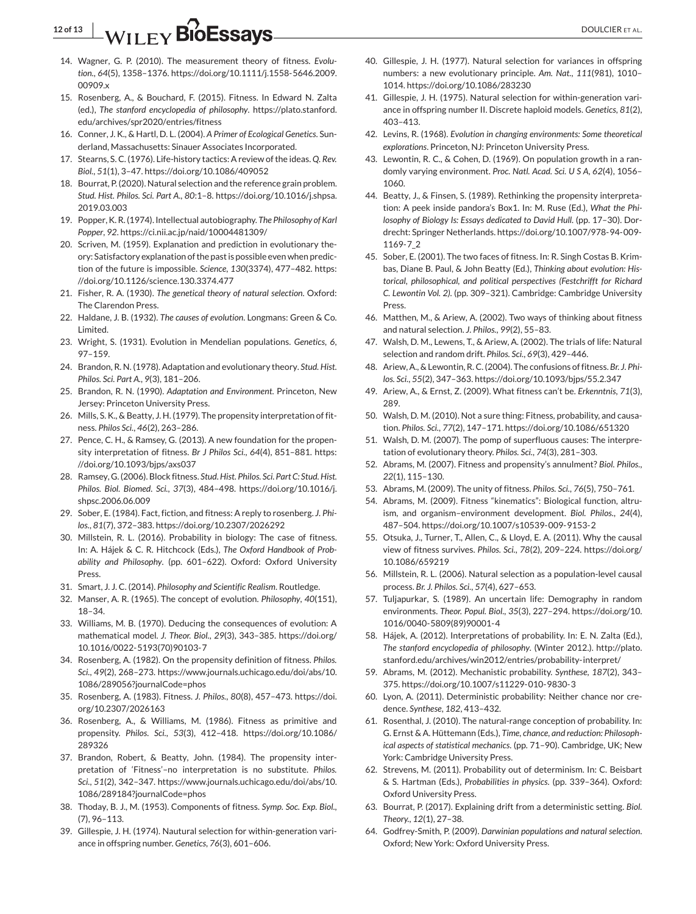## **12 of 13** N/I F V **BIOESSAVS**

- 14. Wagner, G. P. (2010). The measurement theory of fitness. *Evolution.*, *64*(5), 1358–1376. https://doi.org/10.1111/j.1558-5646.2009. 00909.x
- 15. Rosenberg, A., & Bouchard, F. (2015). Fitness. In Edward N. Zalta (ed.), *The stanford encyclopedia of philosophy*. https://plato.stanford. edu/archives/spr2020/entries/fitness
- 16. Conner, J. K., & Hartl, D. L. (2004). *A Primer of Ecological Genetics*. Sunderland, Massachusetts: Sinauer Associates Incorporated.
- 17. Stearns, S. C. (1976). Life-history tactics: A review of the ideas. *Q. Rev. Biol.*, *51*(1), 3–47. https://doi.org/10.1086/409052
- 18. Bourrat, P. (2020). Natural selection and the reference grain problem. *Stud. Hist. Philos. Sci. Part A.*, *80*:1–8. https://doi.org/10.1016/j.shpsa. 2019.03.003
- 19. Popper, K. R. (1974). Intellectual autobiography. *The Philosophy of Karl Popper*, *92*. https://ci.nii.ac.jp/naid/10004481309/
- 20. Scriven, M. (1959). Explanation and prediction in evolutionary theory: Satisfactory explanation of the past is possible even when prediction of the future is impossible. *Science*, *130*(3374), 477–482. https: //doi.org/10.1126/science.130.3374.477
- 21. Fisher, R. A. (1930). *The genetical theory of natural selection*. Oxford: The Clarendon Press.
- 22. Haldane, J. B. (1932). *The causes of evolution*. Longmans: Green & Co. Limited.
- 23. Wright, S. (1931). Evolution in Mendelian populations. *Genetics*, *6*, 97–159.
- 24. Brandon, R. N. (1978). Adaptation and evolutionary theory. *Stud. Hist. Philos. Sci. Part A.*, *9*(3), 181–206.
- 25. Brandon, R. N. (1990). *Adaptation and Environment*. Princeton, New Jersey: Princeton University Press.
- 26. Mills, S. K., & Beatty, J. H. (1979). The propensity interpretation of fitness. *Philos Sci.*, *46*(2), 263–286.
- 27. Pence, C. H., & Ramsey, G. (2013). A new foundation for the propensity interpretation of fitness. *Br J Philos Sci.*, *64*(4), 851–881. https: //doi.org/10.1093/bjps/axs037
- 28. Ramsey, G. (2006). Block fitness. *Stud. Hist. Philos. Sci. Part C: Stud. Hist. Philos. Biol. Biomed. Sci.*, *37*(3), 484–498. https://doi.org/10.1016/j. shpsc.2006.06.009
- 29. Sober, E. (1984). Fact, fiction, and fitness: A reply to rosenberg. *J. Philos.*, *81*(7), 372–383. https://doi.org/10.2307/2026292
- 30. Millstein, R. L. (2016). Probability in biology: The case of fitness. In: A. Hájek & C. R. Hitchcock (Eds.), *The Oxford Handbook of Probability and Philosophy*. (pp. 601–622). Oxford: Oxford University Press.
- 31. Smart, J. J. C. (2014). *Philosophy and Scientific Realism*. Routledge.
- 32. Manser, A. R. (1965). The concept of evolution. *Philosophy*, *40*(151), 18–34.
- 33. Williams, M. B. (1970). Deducing the consequences of evolution: A mathematical model. *J. Theor. Biol.*, *29*(3), 343–385. https://doi.org/ 10.1016/0022-5193(70)90103-7
- 34. Rosenberg, A. (1982). On the propensity definition of fitness. *Philos. Sci.*, *49*(2), 268–273. https://www.journals.uchicago.edu/doi/abs/10. 1086/289056?journalCode=phos
- 35. Rosenberg, A. (1983). Fitness. *J. Philos.*, *80*(8), 457–473. https://doi. org/10.2307/2026163
- 36. Rosenberg, A., & Williams, M. (1986). Fitness as primitive and propensity. *Philos. Sci.*, *53*(3), 412–418. https://doi.org/10.1086/ 289326
- 37. Brandon, Robert, & Beatty, John. (1984). The propensity interpretation of 'Fitness'–no interpretation is no substitute. *Philos. Sci.*, *51*(2), 342–347. https://www.journals.uchicago.edu/doi/abs/10. 1086/289184?journalCode=phos
- 38. Thoday, B. J., M. (1953). Components of fitness. *Symp. Soc. Exp. Biol.*, (7), 96–113.
- 39. Gillespie, J. H. (1974). Nautural selection for within-generation variance in offspring number. *Genetics*, *76*(3), 601–606.
- 40. Gillespie, J. H. (1977). Natural selection for variances in offspring numbers: a new evolutionary principle. *Am. Nat.*, *111*(981), 1010– 1014. https://doi.org/10.1086/283230
- 41. Gillespie, J. H. (1975). Natural selection for within-generation variance in offspring number II. Discrete haploid models. *Genetics*, *81*(2), 403–413.
- 42. Levins, R. (1968). *Evolution in changing environments: Some theoretical explorations*. Princeton, NJ: Princeton University Press.
- 43. Lewontin, R. C., & Cohen, D. (1969). On population growth in a randomly varying environment. *Proc. Natl. Acad. Sci. U S A*, *62*(4), 1056– 1060.
- 44. Beatty, J., & Finsen, S. (1989). Rethinking the propensity interpretation: A peek inside pandora's Box1. In: M. Ruse (Ed.), *What the Philosophy of Biology Is: Essays dedicated to David Hull*. (pp. 17–30). Dordrecht: Springer Netherlands. https://doi.org/10.1007/978-94-009- 1169-7\_2
- 45. Sober, E. (2001). The two faces of fitness. In: R. Singh Costas B. Krimbas, Diane B. Paul, & John Beatty (Ed.), *Thinking about evolution: Historical, philosophical, and political perspectives (Festchrifft for Richard C. Lewontin Vol. 2)*. (pp. 309–321). Cambridge: Cambridge University Press.
- 46. Matthen, M., & Ariew, A. (2002). Two ways of thinking about fitness and natural selection. *J. Philos.*, *99*(2), 55–83.
- 47. Walsh, D. M., Lewens, T., & Ariew, A. (2002). The trials of life: Natural selection and random drift. *Philos. Sci.*, *69*(3), 429–446.
- 48. Ariew, A., & Lewontin, R. C. (2004). The confusions of fitness. *Br. J. Philos. Sci.*, *55*(2), 347–363. https://doi.org/10.1093/bjps/55.2.347
- 49. Ariew, A., & Ernst, Z. (2009). What fitness can't be. *Erkenntnis*, *71*(3), 289.
- 50. Walsh, D. M. (2010). Not a sure thing: Fitness, probability, and causation. *Philos. Sci.*, *77*(2), 147–171. https://doi.org/10.1086/651320
- 51. Walsh, D. M. (2007). The pomp of superfluous causes: The interpretation of evolutionary theory. *Philos. Sci.*, *74*(3), 281–303.
- 52. Abrams, M. (2007). Fitness and propensity's annulment? *Biol. Philos.*, *22*(1), 115–130.
- 53. Abrams, M. (2009). The unity of fitness. *Philos. Sci.*, *76*(5), 750–761.
- 54. Abrams, M. (2009). Fitness "kinematics": Biological function, altruism, and organism–environment development. *Biol. Philos.*, *24*(4), 487–504. https://doi.org/10.1007/s10539-009-9153-2
- 55. Otsuka, J., Turner, T., Allen, C., & Lloyd, E. A. (2011). Why the causal view of fitness survives. *Philos. Sci.*, *78*(2), 209–224. https://doi.org/ 10.1086/659219
- 56. Millstein, R. L. (2006). Natural selection as a population-level causal process. *Br. J. Philos. Sci.*, *57*(4), 627–653.
- 57. Tuljapurkar, S. (1989). An uncertain life: Demography in random environments. *Theor. Popul. Biol.*, *35*(3), 227–294. https://doi.org/10. 1016/0040-5809(89)90001-4
- 58. Hájek, A. (2012). Interpretations of probability. In: E. N. Zalta (Ed.), *The stanford encyclopedia of philosophy*. (Winter 2012.). http://plato. stanford.edu/archives/win2012/entries/probability-interpret/
- 59. Abrams, M. (2012). Mechanistic probability. *Synthese*, *187*(2), 343– 375. https://doi.org/10.1007/s11229-010-9830-3
- 60. Lyon, A. (2011). Deterministic probability: Neither chance nor credence. *Synthese*, *182*, 413–432.
- 61. Rosenthal, J. (2010). The natural-range conception of probability. In: G. Ernst & A. Hüttemann (Eds.), *Time, chance, and reduction: Philosophical aspects of statistical mechanics*. (pp. 71–90). Cambridge, UK; New York: Cambridge University Press.
- 62. Strevens, M. (2011). Probability out of determinism. In: C. Beisbart & S. Hartman (Eds.), *Probabilities in physics*. (pp. 339–364). Oxford: Oxford University Press.
- 63. Bourrat, P. (2017). Explaining drift from a deterministic setting. *Biol. Theory.*, *12*(1), 27–38.
- 64. Godfrey-Smith, P. (2009). *Darwinian populations and natural selection*. Oxford; New York: Oxford University Press.